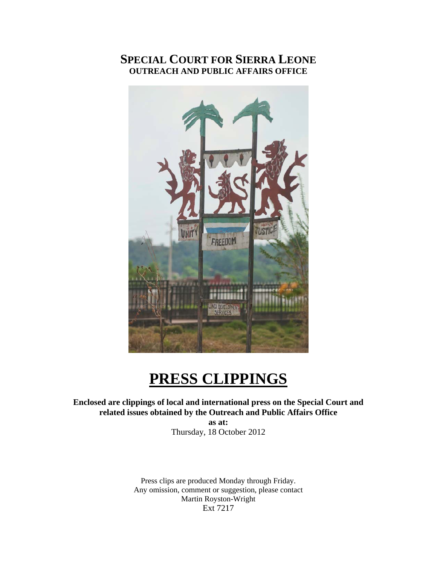#### **SPECIAL COURT FOR SIERRA LEONE OUTREACH AND PUBLIC AFFAIRS OFFICE**



### **PRESS CLIPPINGS**

**Enclosed are clippings of local and international press on the Special Court and related issues obtained by the Outreach and Public Affairs Office** 

**as at:**  Thursday, 18 October 2012

Press clips are produced Monday through Friday. Any omission, comment or suggestion, please contact Martin Royston-Wright Ext 7217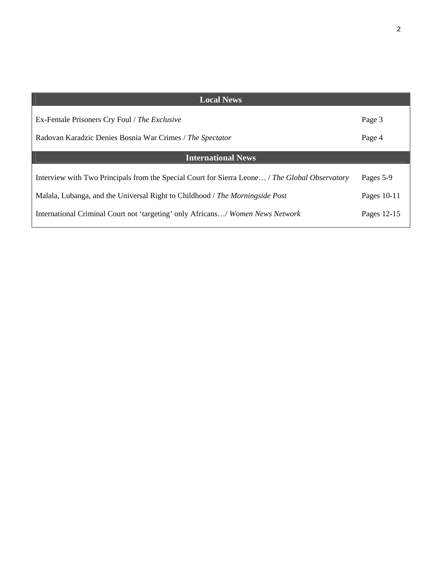| <b>Local News</b>                                                                              |             |
|------------------------------------------------------------------------------------------------|-------------|
| Ex-Female Prisoners Cry Foul / The Exclusive                                                   | Page 3      |
| Radovan Karadzic Denies Bosnia War Crimes / The Spectator                                      | Page 4      |
| <b>International News</b>                                                                      |             |
| Interview with Two Principals from the Special Court for Sierra Leone / The Global Observatory | Pages 5-9   |
| Malala, Lubanga, and the Universal Right to Childhood / The Morningside Post                   | Pages 10-11 |
| International Criminal Court not 'targeting' only Africans/ Women News Network                 | Pages 12-15 |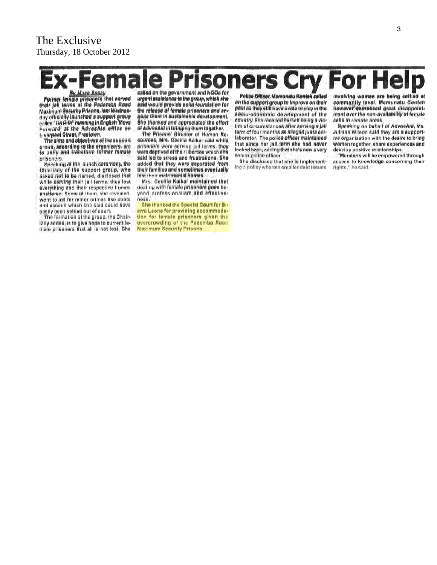# e Prisoners Cry For Help

By Musa Sesay<br>Fermer female priseners that served their jail terms at the Pademba Read Maximum Security Prisons, last Wednesday officially launched a support group called "Ge Bife" meaning in English Meve called Ge Bild meaning in English move<br>Forward' at the AdvesAid office on<br>Liverpool Street, Freetown.

The aims and objectives of the support group, according to the organizers, are to unity and transform former female prisoners.

Speaking at the launch ceremony, the Chairlady of the support group, who asked not to be named, disclosed that while serving their jail terms, they lost everything and their respective homes shattered. Some of them, she revealed, went to jail for minor crimes like debts and assault which she said could have easily been settled out of court.

The formation of the group, the Chairlady added, is to give hope to current female prisoners that all is not lost. She

salled en the gevernment and NGOs for urgent assistance to the group, which she said weuld previde selid feundation for the release of female prisoners and engage them in sustainable development.<br>She thanked and appreciated the effort of AdvecAid in bringing them together.

The Prisons' Director of Human Reseurces, Mrs. Gecilia Kaikai said while prisoners were serving jail terms, they were deprived of their liberties which she said led to stress and frustrations. She added that they were separated from their families and semetimes eventually løst their matrimonial homes.

Mrs. Ceellia Kalkal maintained that dealing with female prisoners goes be-<br>yond professionalism and effectiveness

She thanked the Special Court for Sierra Leone for providing accommodation for female prisoners given the overcrowding of the Pademba Road **Maximum Security Prisons.** 

Police Officer, Memunatu Kenteh called on the support group to improve on their<br>past as they still have a role to play in the secio-economic development of the country. She recalled herself being a victim of circumstances after serving a jail term of four months as alleged junta collaborator. The police officer maintained that since her jail term she had never<br>looked back, adding that she's new a very senior police officer.

She disclosed that she is implementing a policy wherein smaller debt issues

involving women are being settled at community level. Memunatu Content<br>however expressed great disappointment over the non-availability of female cells in remote areas.

Speaking on behalf of AdvocAid, Ms. Juliana Wilson said they are a supportive organization with the desire to bring women together, share experiences and develop positive relationships.

"Members will be empowered through access to knowledge concerning their rights," he said.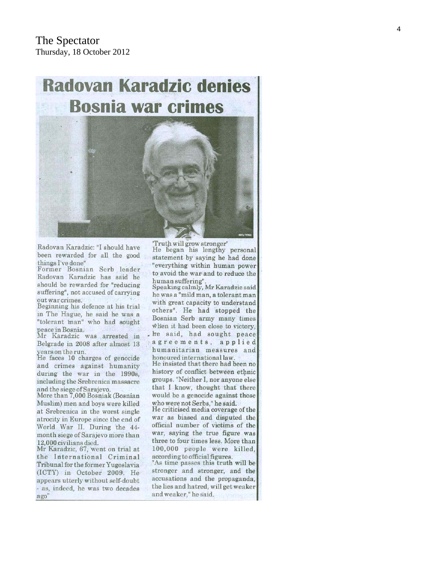## **Radovan Karadzic denies Bosnia war crimes**



Radovan Karadzic: "I should have been rewarded for all the good things I've done"

Former Bosnian Serb leader Radovan Karadzic has said he should be rewarded for "reducing suffering", not accused of carrying out war crimes.

Beginning his defence at his trial in The Hague, he said he was a "tolerant 'man" who had sought peace in Bosnia.<br>Mr Karadzic was arrested in

Belgrade in 2008 after almost 13 years on the run.<br>He faces 10 charges of genocide

and crimes against humanity during the war in the 1990s, including the Srebrenica massacre

and the siege of Sarajevo.<br>More than 7,000 Bosniak (Bosnian Muslim) men and boys were killed at Srebrenica in the worst single atrocity in Europe since the end of World War II. During the 44month siege of Sarajevo more than 12,000 civilians died.

Mr Karadzic, 67, went on trial at the International Criminal Tribunal for the former Yugoslavia (ICTY) in October 2009. He appears utterly without self-doubt - as, indeed, he was two decades ago"

Truth will grow stronger' He began his lengthy personal statement by saying he had done "everything within human power to avoid the war and to reduce the human suffering".<br>Speaking calmly, Mr Karadzic said he was a "mild man, a tolerant man with great capacity to understand others". He had stopped the Bosnian Serb army many times when it had been close to victory, he said, had sought peace agreements, applied humanitarian measures and honoured international law. He insisted that there had been no history of conflict between ethnic groups. "Neither I, nor anyone else that I know, thought that there would be a genocide against those who were not Serbs," he said. He criticised media coverage of the war as biased and disputed the official number of victims of the war, saying the true figure was three to four times less. More than 100,000 people were killed. according to official figures.<br>"As time passes this truth will be stronger and stronger, and the accusations and the propaganda, the lies and hatred, will get weaker and weaker," he said.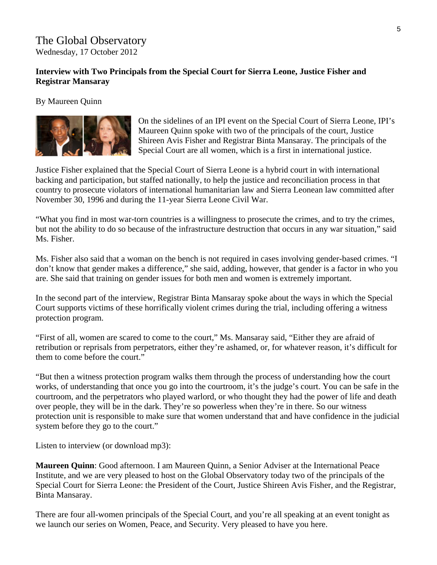#### The Global Observatory Wednesday, 17 October 2012

#### **Interview with Two Principals from the Special Court for Sierra Leone, Justice Fisher and Registrar Mansaray**

By Maureen Quinn



On the sidelines of an IPI event on the Special Court of Sierra Leone, IPI's Maureen Quinn spoke with two of the principals of the court, Justice Shireen Avis Fisher and Registrar Binta Mansaray. The principals of the Special Court are all women, which is a first in international justice.

Justice Fisher explained that the Special Court of Sierra Leone is a hybrid court in with international backing and participation, but staffed nationally, to help the justice and reconciliation process in that country to prosecute violators of international humanitarian law and Sierra Leonean law committed after November 30, 1996 and during the 11-year Sierra Leone Civil War.

"What you find in most war-torn countries is a willingness to prosecute the crimes, and to try the crimes, but not the ability to do so because of the infrastructure destruction that occurs in any war situation," said Ms. Fisher.

Ms. Fisher also said that a woman on the bench is not required in cases involving gender-based crimes. "I don't know that gender makes a difference," she said, adding, however, that gender is a factor in who you are. She said that training on gender issues for both men and women is extremely important.

In the second part of the interview, Registrar Binta Mansaray spoke about the ways in which the Special Court supports victims of these horrifically violent crimes during the trial, including offering a witness protection program.

"First of all, women are scared to come to the court," Ms. Mansaray said, "Either they are afraid of retribution or reprisals from perpetrators, either they're ashamed, or, for whatever reason, it's difficult for them to come before the court."

"But then a witness protection program walks them through the process of understanding how the court works, of understanding that once you go into the courtroom, it's the judge's court. You can be safe in the courtroom, and the perpetrators who played warlord, or who thought they had the power of life and death over people, they will be in the dark. They're so powerless when they're in there. So our witness protection unit is responsible to make sure that women understand that and have confidence in the judicial system before they go to the court."

Listen to interview (or download mp3):

**Maureen Quinn**: Good afternoon. I am Maureen Quinn, a Senior Adviser at the International Peace Institute, and we are very pleased to host on the Global Observatory today two of the principals of the Special Court for Sierra Leone: the President of the Court, Justice Shireen Avis Fisher, and the Registrar, Binta Mansaray.

There are four all-women principals of the Special Court, and you're all speaking at an event tonight as we launch our series on Women, Peace, and Security. Very pleased to have you here.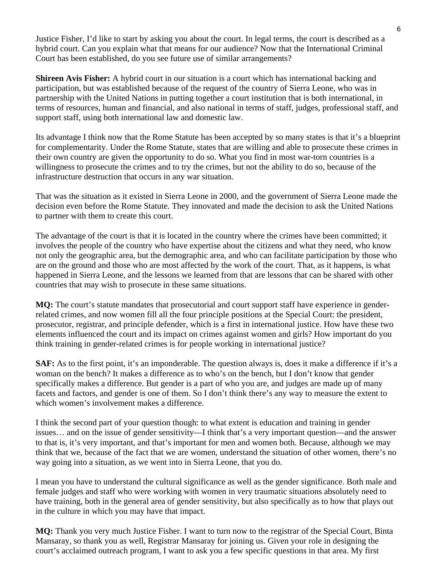Justice Fisher, I'd like to start by asking you about the court. In legal terms, the court is described as a hybrid court. Can you explain what that means for our audience? Now that the International Criminal Court has been established, do you see future use of similar arrangements?

**Shireen Avis Fisher:** A hybrid court in our situation is a court which has international backing and participation, but was established because of the request of the country of Sierra Leone, who was in partnership with the United Nations in putting together a court institution that is both international, in terms of resources, human and financial, and also national in terms of staff, judges, professional staff, and support staff, using both international law and domestic law.

Its advantage I think now that the Rome Statute has been accepted by so many states is that it's a blueprint for complementarity. Under the Rome Statute, states that are willing and able to prosecute these crimes in their own country are given the opportunity to do so. What you find in most war-torn countries is a willingness to prosecute the crimes and to try the crimes, but not the ability to do so, because of the infrastructure destruction that occurs in any war situation.

That was the situation as it existed in Sierra Leone in 2000, and the government of Sierra Leone made the decision even before the Rome Statute. They innovated and made the decision to ask the United Nations to partner with them to create this court.

The advantage of the court is that it is located in the country where the crimes have been committed; it involves the people of the country who have expertise about the citizens and what they need, who know not only the geographic area, but the demographic area, and who can facilitate participation by those who are on the ground and those who are most affected by the work of the court. That, as it happens, is what happened in Sierra Leone, and the lessons we learned from that are lessons that can be shared with other countries that may wish to prosecute in these same situations.

**MQ:** The court's statute mandates that prosecutorial and court support staff have experience in genderrelated crimes, and now women fill all the four principle positions at the Special Court: the president, prosecutor, registrar, and principle defender, which is a first in international justice. How have these two elements influenced the court and its impact on crimes against women and girls? How important do you think training in gender-related crimes is for people working in international justice?

**SAF:** As to the first point, it's an imponderable. The question always is, does it make a difference if it's a woman on the bench? It makes a difference as to who's on the bench, but I don't know that gender specifically makes a difference. But gender is a part of who you are, and judges are made up of many facets and factors, and gender is one of them. So I don't think there's any way to measure the extent to which women's involvement makes a difference.

I think the second part of your question though: to what extent is education and training in gender issues… and on the issue of gender sensitivity—I think that's a very important question—and the answer to that is, it's very important, and that's important for men and women both. Because, although we may think that we, because of the fact that we are women, understand the situation of other women, there's no way going into a situation, as we went into in Sierra Leone, that you do.

I mean you have to understand the cultural significance as well as the gender significance. Both male and female judges and staff who were working with women in very traumatic situations absolutely need to have training, both in the general area of gender sensitivity, but also specifically as to how that plays out in the culture in which you may have that impact.

**MQ:** Thank you very much Justice Fisher. I want to turn now to the registrar of the Special Court, Binta Mansaray, so thank you as well, Registrar Mansaray for joining us. Given your role in designing the court's acclaimed outreach program, I want to ask you a few specific questions in that area. My first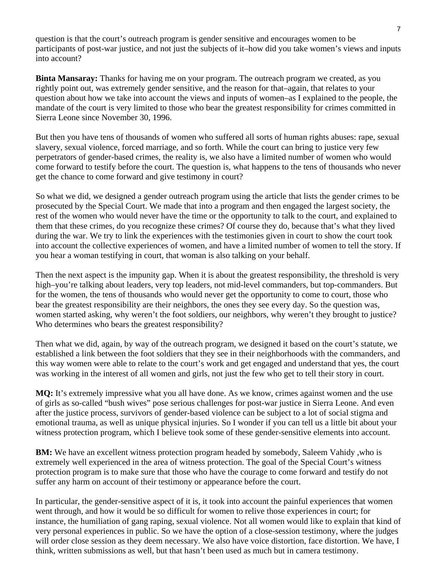question is that the court's outreach program is gender sensitive and encourages women to be participants of post-war justice, and not just the subjects of it–how did you take women's views and inputs into account?

**Binta Mansaray:** Thanks for having me on your program. The outreach program we created, as you rightly point out, was extremely gender sensitive, and the reason for that–again, that relates to your question about how we take into account the views and inputs of women–as I explained to the people, the mandate of the court is very limited to those who bear the greatest responsibility for crimes committed in Sierra Leone since November 30, 1996.

But then you have tens of thousands of women who suffered all sorts of human rights abuses: rape, sexual slavery, sexual violence, forced marriage, and so forth. While the court can bring to justice very few perpetrators of gender-based crimes, the reality is, we also have a limited number of women who would come forward to testify before the court. The question is, what happens to the tens of thousands who never get the chance to come forward and give testimony in court?

So what we did, we designed a gender outreach program using the article that lists the gender crimes to be prosecuted by the Special Court. We made that into a program and then engaged the largest society, the rest of the women who would never have the time or the opportunity to talk to the court, and explained to them that these crimes, do you recognize these crimes? Of course they do, because that's what they lived during the war. We try to link the experiences with the testimonies given in court to show the court took into account the collective experiences of women, and have a limited number of women to tell the story. If you hear a woman testifying in court, that woman is also talking on your behalf.

Then the next aspect is the impunity gap. When it is about the greatest responsibility, the threshold is very high–you're talking about leaders, very top leaders, not mid-level commanders, but top-commanders. But for the women, the tens of thousands who would never get the opportunity to come to court, those who bear the greatest responsibility are their neighbors, the ones they see every day. So the question was, women started asking, why weren't the foot soldiers, our neighbors, why weren't they brought to justice? Who determines who bears the greatest responsibility?

Then what we did, again, by way of the outreach program, we designed it based on the court's statute, we established a link between the foot soldiers that they see in their neighborhoods with the commanders, and this way women were able to relate to the court's work and get engaged and understand that yes, the court was working in the interest of all women and girls, not just the few who get to tell their story in court.

**MQ:** It's extremely impressive what you all have done. As we know, crimes against women and the use of girls as so-called "bush wives" pose serious challenges for post-war justice in Sierra Leone. And even after the justice process, survivors of gender-based violence can be subject to a lot of social stigma and emotional trauma, as well as unique physical injuries. So I wonder if you can tell us a little bit about your witness protection program, which I believe took some of these gender-sensitive elements into account.

**BM:** We have an excellent witness protection program headed by somebody, Saleem Vahidy ,who is extremely well experienced in the area of witness protection. The goal of the Special Court's witness protection program is to make sure that those who have the courage to come forward and testify do not suffer any harm on account of their testimony or appearance before the court.

In particular, the gender-sensitive aspect of it is, it took into account the painful experiences that women went through, and how it would be so difficult for women to relive those experiences in court; for instance, the humiliation of gang raping, sexual violence. Not all women would like to explain that kind of very personal experiences in public. So we have the option of a close-session testimony, where the judges will order close session as they deem necessary. We also have voice distortion, face distortion. We have, I think, written submissions as well, but that hasn't been used as much but in camera testimony.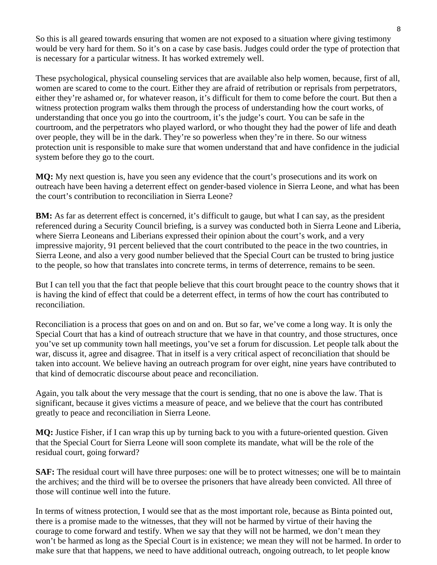So this is all geared towards ensuring that women are not exposed to a situation where giving testimony would be very hard for them. So it's on a case by case basis. Judges could order the type of protection that is necessary for a particular witness. It has worked extremely well.

These psychological, physical counseling services that are available also help women, because, first of all, women are scared to come to the court. Either they are afraid of retribution or reprisals from perpetrators, either they're ashamed or, for whatever reason, it's difficult for them to come before the court. But then a witness protection program walks them through the process of understanding how the court works, of understanding that once you go into the courtroom, it's the judge's court. You can be safe in the courtroom, and the perpetrators who played warlord, or who thought they had the power of life and death over people, they will be in the dark. They're so powerless when they're in there. So our witness protection unit is responsible to make sure that women understand that and have confidence in the judicial system before they go to the court.

**MQ:** My next question is, have you seen any evidence that the court's prosecutions and its work on outreach have been having a deterrent effect on gender-based violence in Sierra Leone, and what has been the court's contribution to reconciliation in Sierra Leone?

**BM:** As far as deterrent effect is concerned, it's difficult to gauge, but what I can say, as the president referenced during a Security Council briefing, is a survey was conducted both in Sierra Leone and Liberia, where Sierra Leoneans and Liberians expressed their opinion about the court's work, and a very impressive majority, 91 percent believed that the court contributed to the peace in the two countries, in Sierra Leone, and also a very good number believed that the Special Court can be trusted to bring justice to the people, so how that translates into concrete terms, in terms of deterrence, remains to be seen.

But I can tell you that the fact that people believe that this court brought peace to the country shows that it is having the kind of effect that could be a deterrent effect, in terms of how the court has contributed to reconciliation.

Reconciliation is a process that goes on and on and on. But so far, we've come a long way. It is only the Special Court that has a kind of outreach structure that we have in that country, and those structures, once you've set up community town hall meetings, you've set a forum for discussion. Let people talk about the war, discuss it, agree and disagree. That in itself is a very critical aspect of reconciliation that should be taken into account. We believe having an outreach program for over eight, nine years have contributed to that kind of democratic discourse about peace and reconciliation.

Again, you talk about the very message that the court is sending, that no one is above the law. That is significant, because it gives victims a measure of peace, and we believe that the court has contributed greatly to peace and reconciliation in Sierra Leone.

**MQ:** Justice Fisher, if I can wrap this up by turning back to you with a future-oriented question. Given that the Special Court for Sierra Leone will soon complete its mandate, what will be the role of the residual court, going forward?

**SAF:** The residual court will have three purposes: one will be to protect witnesses; one will be to maintain the archives; and the third will be to oversee the prisoners that have already been convicted. All three of those will continue well into the future.

In terms of witness protection, I would see that as the most important role, because as Binta pointed out, there is a promise made to the witnesses, that they will not be harmed by virtue of their having the courage to come forward and testify. When we say that they will not be harmed, we don't mean they won't be harmed as long as the Special Court is in existence; we mean they will not be harmed. In order to make sure that that happens, we need to have additional outreach, ongoing outreach, to let people know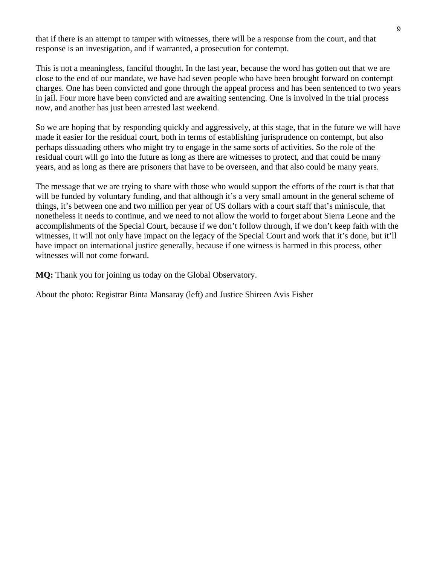that if there is an attempt to tamper with witnesses, there will be a response from the court, and that response is an investigation, and if warranted, a prosecution for contempt.

This is not a meaningless, fanciful thought. In the last year, because the word has gotten out that we are close to the end of our mandate, we have had seven people who have been brought forward on contempt charges. One has been convicted and gone through the appeal process and has been sentenced to two years in jail. Four more have been convicted and are awaiting sentencing. One is involved in the trial process now, and another has just been arrested last weekend.

So we are hoping that by responding quickly and aggressively, at this stage, that in the future we will have made it easier for the residual court, both in terms of establishing jurisprudence on contempt, but also perhaps dissuading others who might try to engage in the same sorts of activities. So the role of the residual court will go into the future as long as there are witnesses to protect, and that could be many years, and as long as there are prisoners that have to be overseen, and that also could be many years.

The message that we are trying to share with those who would support the efforts of the court is that that will be funded by voluntary funding, and that although it's a very small amount in the general scheme of things, it's between one and two million per year of US dollars with a court staff that's miniscule, that nonetheless it needs to continue, and we need to not allow the world to forget about Sierra Leone and the accomplishments of the Special Court, because if we don't follow through, if we don't keep faith with the witnesses, it will not only have impact on the legacy of the Special Court and work that it's done, but it'll have impact on international justice generally, because if one witness is harmed in this process, other witnesses will not come forward.

**MO:** Thank you for joining us today on the Global Observatory.

About the photo: Registrar Binta Mansaray (left) and Justice Shireen Avis Fisher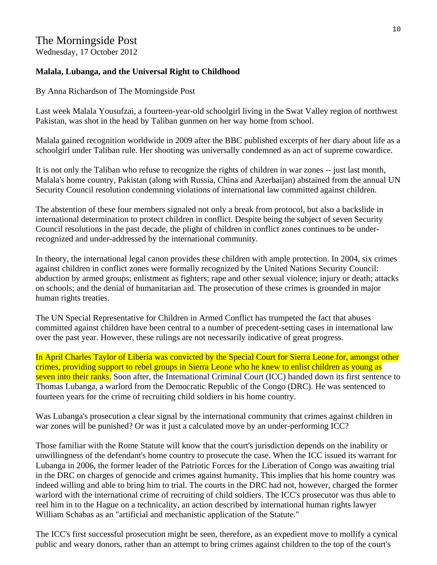#### The Morningside Post

Wednesday, 17 October 2012

#### **Malala, Lubanga, and the Universal Right to Childhood**

By Anna Richardson of The Morningside Post

Last week Malala Yousufzai, a fourteen-year-old schoolgirl living in the Swat Valley region of northwest Pakistan, was shot in the head by Taliban gunmen on her way home from school.

Malala gained recognition worldwide in 2009 after the BBC published excerpts of her diary about life as a schoolgirl under Taliban rule. Her shooting was universally condemned as an act of supreme cowardice.

It is not only the Taliban who refuse to recognize the rights of children in war zones -- just last month, Malala's home country, Pakistan (along with Russia, China and Azerbaijan) abstained from the annual UN Security Council resolution condemning violations of international law committed against children.

The abstention of these four members signaled not only a break from protocol, but also a backslide in international determination to protect children in conflict. Despite being the subject of seven Security Council resolutions in the past decade, the plight of children in conflict zones continues to be underrecognized and under-addressed by the international community.

In theory, the international legal canon provides these children with ample protection. In 2004, six crimes against children in conflict zones were formally recognized by the United Nations Security Council: abduction by armed groups; enlistment as fighters; rape and other sexual violence; injury or death; attacks on schools; and the denial of humanitarian aid. The prosecution of these crimes is grounded in major human rights treaties.

The UN Special Representative for Children in Armed Conflict has trumpeted the fact that abuses committed against children have been central to a number of precedent-setting cases in international law over the past year. However, these rulings are not necessarily indicative of great progress.

In April Charles Taylor of Liberia was convicted by the Special Court for Sierra Leone for, amongst other crimes, providing support to rebel groups in Sierra Leone who he knew to enlist children as young as seven into their ranks. Soon after, the International Criminal Court (ICC) handed down its first sentence to Thomas Lubanga, a warlord from the Democratic Republic of the Congo (DRC). He was sentenced to fourteen years for the crime of recruiting child soldiers in his home country.

Was Lubanga's prosecution a clear signal by the international community that crimes against children in war zones will be punished? Or was it just a calculated move by an under-performing ICC?

Those familiar with the Rome Statute will know that the court's jurisdiction depends on the inability or unwillingness of the defendant's home country to prosecute the case. When the ICC issued its warrant for Lubanga in 2006, the former leader of the Patriotic Forces for the Liberation of Congo was awaiting trial in the DRC on charges of genocide and crimes against humanity. This implies that his home country was indeed willing and able to bring him to trial. The courts in the DRC had not, however, charged the former warlord with the international crime of recruiting of child soldiers. The ICC's prosecutor was thus able to reel him in to the Hague on a technicality, an action described by international human rights lawyer William Schabas as an "artificial and mechanistic application of the Statute."

The ICC's first successful prosecution might be seen, therefore, as an expedient move to mollify a cynical public and weary donors, rather than an attempt to bring crimes against children to the top of the court's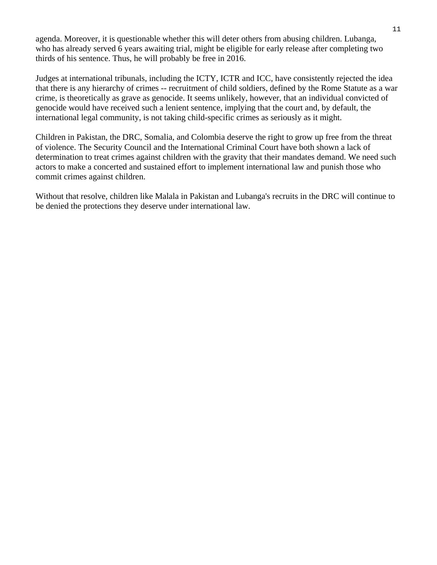agenda. Moreover, it is questionable whether this will deter others from abusing children. Lubanga, who has already served 6 years awaiting trial, might be eligible for early release after completing two thirds of his sentence. Thus, he will probably be free in 2016.

Judges at international tribunals, including the ICTY, ICTR and ICC, have consistently rejected the idea that there is any hierarchy of crimes -- recruitment of child soldiers, defined by the Rome Statute as a war crime, is theoretically as grave as genocide. It seems unlikely, however, that an individual convicted of genocide would have received such a lenient sentence, implying that the court and, by default, the international legal community, is not taking child-specific crimes as seriously as it might.

Children in Pakistan, the DRC, Somalia, and Colombia deserve the right to grow up free from the threat of violence. The Security Council and the International Criminal Court have both shown a lack of determination to treat crimes against children with the gravity that their mandates demand. We need such actors to make a concerted and sustained effort to implement international law and punish those who commit crimes against children.

Without that resolve, children like Malala in Pakistan and Lubanga's recruits in the DRC will continue to be denied the protections they deserve under international law.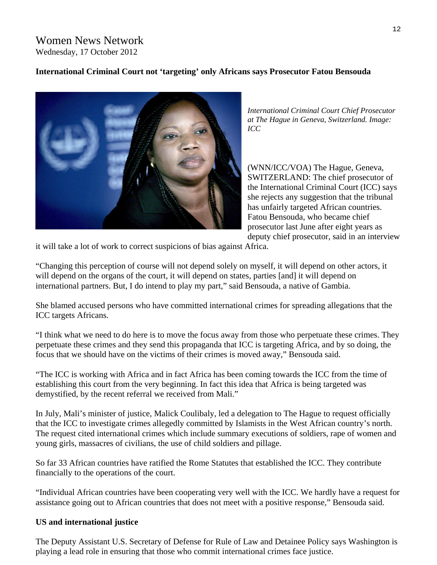#### Women News Network Wednesday, 17 October 2012

#### **International Criminal Court not 'targeting' only Africans says Prosecutor Fatou Bensouda**



*International Criminal Court Chief Prosecutor at The Hague in Geneva, Switzerland. Image: ICC* 

(WNN/ICC/VOA) The Hague, Geneva, SWITZERLAND: The chief prosecutor of the International Criminal Court (ICC) says she rejects any suggestion that the tribunal has unfairly targeted African countries. Fatou Bensouda, who became chief prosecutor last June after eight years as deputy chief prosecutor, said in an interview

it will take a lot of work to correct suspicions of bias against Africa.

"Changing this perception of course will not depend solely on myself, it will depend on other actors, it will depend on the organs of the court, it will depend on states, parties [and] it will depend on international partners. But, I do intend to play my part," said Bensouda, a native of Gambia.

She blamed accused persons who have committed international crimes for spreading allegations that the ICC targets Africans.

"I think what we need to do here is to move the focus away from those who perpetuate these crimes. They perpetuate these crimes and they send this propaganda that ICC is targeting Africa, and by so doing, the focus that we should have on the victims of their crimes is moved away," Bensouda said.

"The ICC is working with Africa and in fact Africa has been coming towards the ICC from the time of establishing this court from the very beginning. In fact this idea that Africa is being targeted was demystified, by the recent referral we received from Mali."

In July, Mali's minister of justice, Malick Coulibaly, led a delegation to The Hague to request officially that the ICC to investigate crimes allegedly committed by Islamists in the West African country's north. The request cited international crimes which include summary executions of soldiers, rape of women and young girls, massacres of civilians, the use of child soldiers and pillage.

So far 33 African countries have ratified the Rome Statutes that established the ICC. They contribute financially to the operations of the court.

"Individual African countries have been cooperating very well with the ICC. We hardly have a request for assistance going out to African countries that does not meet with a positive response," Bensouda said.

#### **US and international justice**

The Deputy Assistant U.S. Secretary of Defense for Rule of Law and Detainee Policy says Washington is playing a lead role in ensuring that those who commit international crimes face justice.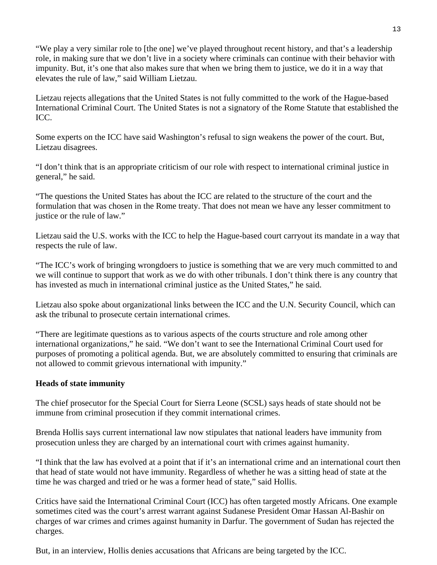"We play a very similar role to [the one] we've played throughout recent history, and that's a leadership role, in making sure that we don't live in a society where criminals can continue with their behavior with impunity. But, it's one that also makes sure that when we bring them to justice, we do it in a way that elevates the rule of law," said William Lietzau.

Lietzau rejects allegations that the United States is not fully committed to the work of the Hague-based International Criminal Court. The United States is not a signatory of the Rome Statute that established the ICC.

Some experts on the ICC have said Washington's refusal to sign weakens the power of the court. But, Lietzau disagrees.

"I don't think that is an appropriate criticism of our role with respect to international criminal justice in general," he said.

"The questions the United States has about the ICC are related to the structure of the court and the formulation that was chosen in the Rome treaty. That does not mean we have any lesser commitment to justice or the rule of law."

Lietzau said the U.S. works with the ICC to help the Hague-based court carryout its mandate in a way that respects the rule of law.

"The ICC's work of bringing wrongdoers to justice is something that we are very much committed to and we will continue to support that work as we do with other tribunals. I don't think there is any country that has invested as much in international criminal justice as the United States," he said.

Lietzau also spoke about organizational links between the ICC and the U.N. Security Council, which can ask the tribunal to prosecute certain international crimes.

"There are legitimate questions as to various aspects of the courts structure and role among other international organizations," he said. "We don't want to see the International Criminal Court used for purposes of promoting a political agenda. But, we are absolutely committed to ensuring that criminals are not allowed to commit grievous international with impunity."

#### **Heads of state immunity**

The chief prosecutor for the Special Court for Sierra Leone (SCSL) says heads of state should not be immune from criminal prosecution if they commit international crimes.

Brenda Hollis says current international law now stipulates that national leaders have immunity from prosecution unless they are charged by an international court with crimes against humanity.

"I think that the law has evolved at a point that if it's an international crime and an international court then that head of state would not have immunity. Regardless of whether he was a sitting head of state at the time he was charged and tried or he was a former head of state," said Hollis.

Critics have said the International Criminal Court (ICC) has often targeted mostly Africans. One example sometimes cited was the court's arrest warrant against Sudanese President Omar Hassan Al-Bashir on charges of war crimes and crimes against humanity in Darfur. The government of Sudan has rejected the charges.

But, in an interview, Hollis denies accusations that Africans are being targeted by the ICC.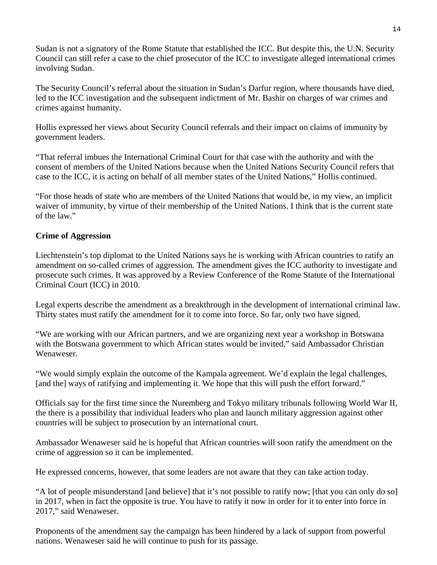Sudan is not a signatory of the Rome Statute that established the ICC. But despite this, the U.N. Security Council can still refer a case to the chief prosecutor of the ICC to investigate alleged international crimes involving Sudan.

The Security Council's referral about the situation in Sudan's Darfur region, where thousands have died, led to the ICC investigation and the subsequent indictment of Mr. Bashir on charges of war crimes and crimes against humanity.

Hollis expressed her views about Security Council referrals and their impact on claims of immunity by government leaders.

"That referral imbues the International Criminal Court for that case with the authority and with the consent of members of the United Nations because when the United Nations Security Council refers that case to the ICC, it is acting on behalf of all member states of the United Nations," Hollis continued.

"For those heads of state who are members of the United Nations that would be, in my view, an implicit waiver of immunity, by virtue of their membership of the United Nations. I think that is the current state of the law."

#### **Crime of Aggression**

Liechtenstein's top diplomat to the United Nations says he is working with African countries to ratify an amendment on so-called crimes of aggression. The amendment gives the ICC authority to investigate and prosecute such crimes. It was approved by a Review Conference of the Rome Statute of the International Criminal Court (ICC) in 2010.

Legal experts describe the amendment as a breakthrough in the development of international criminal law. Thirty states must ratify the amendment for it to come into force. So far, only two have signed.

"We are working with our African partners, and we are organizing next year a workshop in Botswana with the Botswana government to which African states would be invited," said Ambassador Christian Wenaweser.

"We would simply explain the outcome of the Kampala agreement. We'd explain the legal challenges, [and the] ways of ratifying and implementing it. We hope that this will push the effort forward."

Officials say for the first time since the Nuremberg and Tokyo military tribunals following World War II, the there is a possibility that individual leaders who plan and launch military aggression against other countries will be subject to prosecution by an international court.

Ambassador Wenaweser said he is hopeful that African countries will soon ratify the amendment on the crime of aggression so it can be implemented.

He expressed concerns, however, that some leaders are not aware that they can take action today.

"A lot of people misunderstand [and believe] that it's not possible to ratify now; [that you can only do so] in 2017, when in fact the opposite is true. You have to ratify it now in order for it to enter into force in 2017," said Wenaweser.

Proponents of the amendment say the campaign has been hindered by a lack of support from powerful nations. Wenaweser said he will continue to push for its passage.